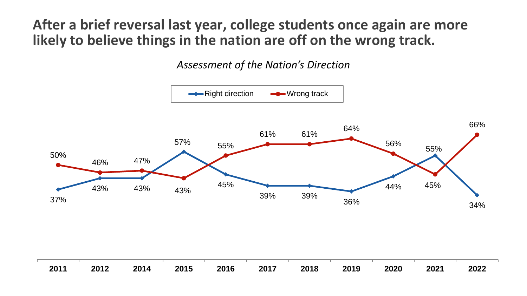**After a brief reversal last year, college students once again are more likely to believe things in the nation are off on the wrong track.**

*Assessment of the Nation's Direction*

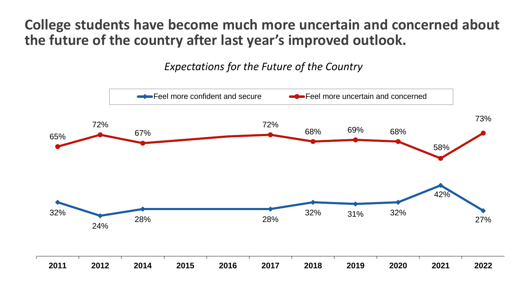**College students have become much more uncertain and concerned about the future of the country after last year's improved outlook.**

*Expectations for the Future of the Country*

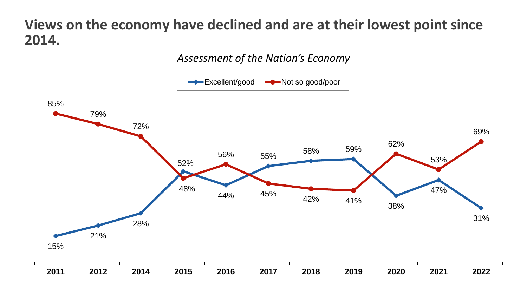## **Views on the economy have declined and are at their lowest point since 2014.**

#### *Assessment of the Nation's Economy*

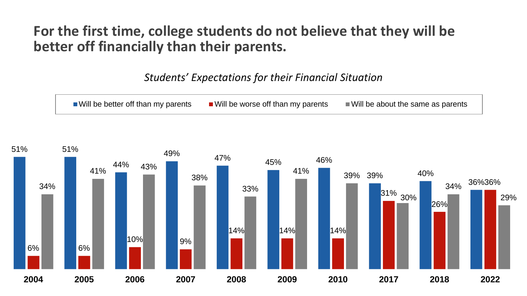## **For the first time, college students do not believe that they will be better off financially than their parents.**

#### *Students' Expectations for their Financial Situation*



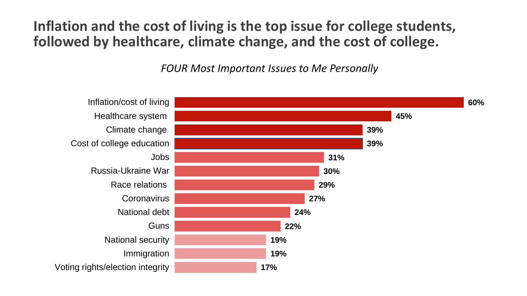**Inflation and the cost of living is the top issue for college students, followed by healthcare, climate change, and the cost of college.** 

*FOUR Most Important Issues to Me Personally*

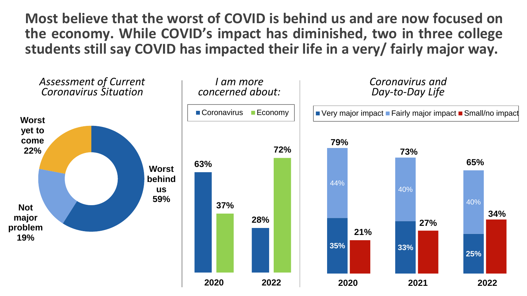**Most believe that the worst of COVID is behind us and are now focused on the economy. While COVID's impact has diminished, two in three college students still say COVID has impacted their life in a very/ fairly major way.**

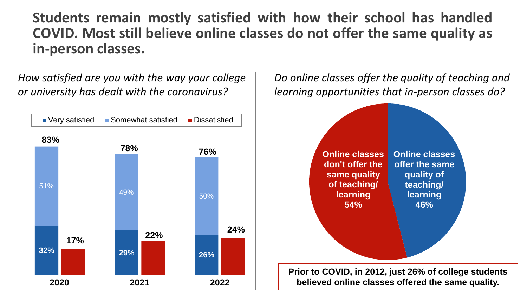**Students remain mostly satisfied with how their school has handled COVID. Most still believe online classes do not offer the same quality as in-person classes.**

*How satisfied are you with the way your college or university has dealt with the coronavirus?*



*Do online classes offer the quality of teaching and learning opportunities that in-person classes do?*

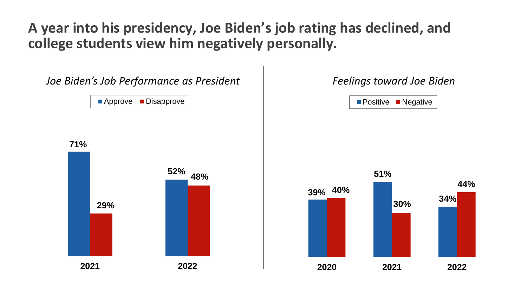## **A year into his presidency, Joe Biden's job rating has declined, and college students view him negatively personally.**

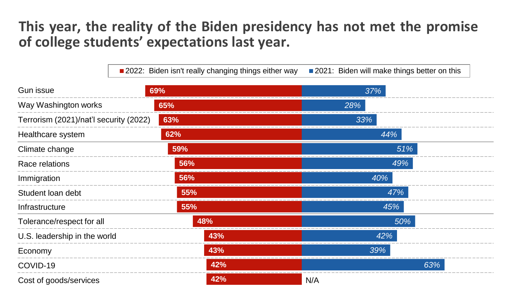## **This year, the reality of the Biden presidency has not met the promise of college students' expectations last year.**

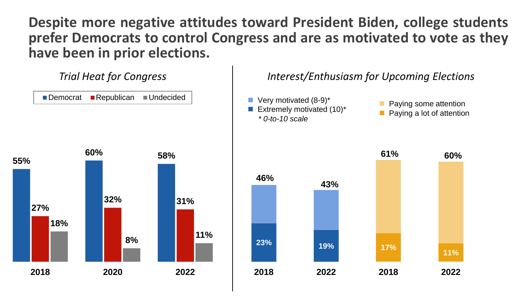**Despite more negative attitudes toward President Biden, college students prefer Democrats to control Congress and are as motivated to vote as they have been in prior elections.**

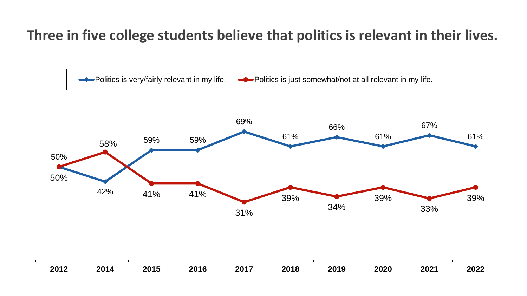# **Three in five college students believe that politics is relevant in their lives.**

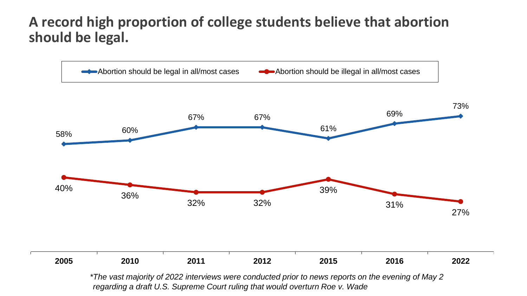## **A record high proportion of college students believe that abortion should be legal.**



*regarding a draft U.S. Supreme Court ruling that would overturn Roe v. Wade*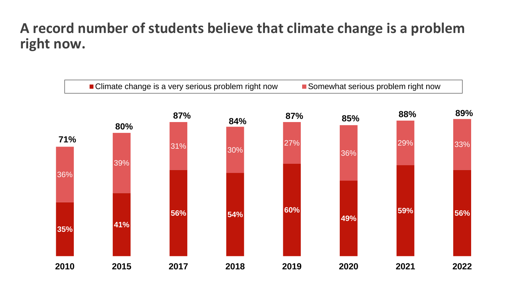### **A record number of students believe that climate change is a problem right now.**

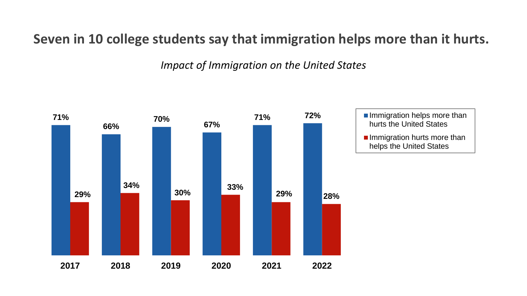### **Seven in 10 college students say that immigration helps more than it hurts.**

*Impact of Immigration on the United States*

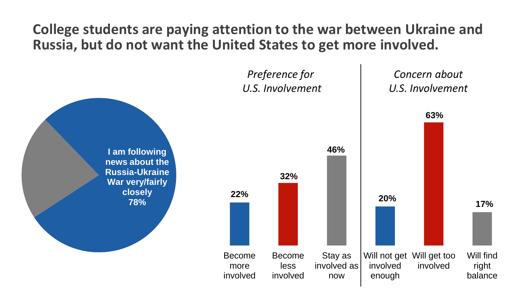**College students are paying attention to the war between Ukraine and Russia, but do not want the United States to get more involved.**

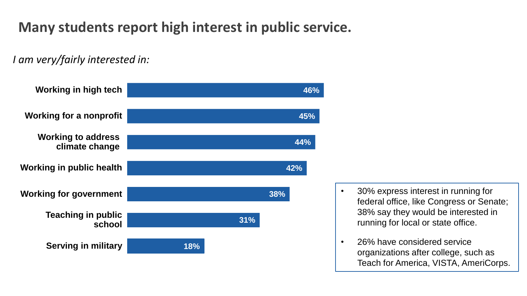# **Many students report high interest in public service.**

*I am very/fairly interested in:*



- running for local or state office. • 30% express interest in running for federal office, like Congress or Senate; 38% say they would be interested in
- **•** 26% have considered service organizations after college, such as Teach for America, VISTA, AmeriCorps.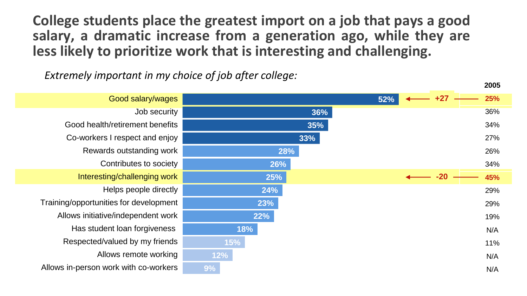**College students place the greatest import on a job that pays a good salary, a dramatic increase from a generation ago, while they are less likely to prioritize work that is interesting and challenging.**

*Extremely important in my choice of job after college:*